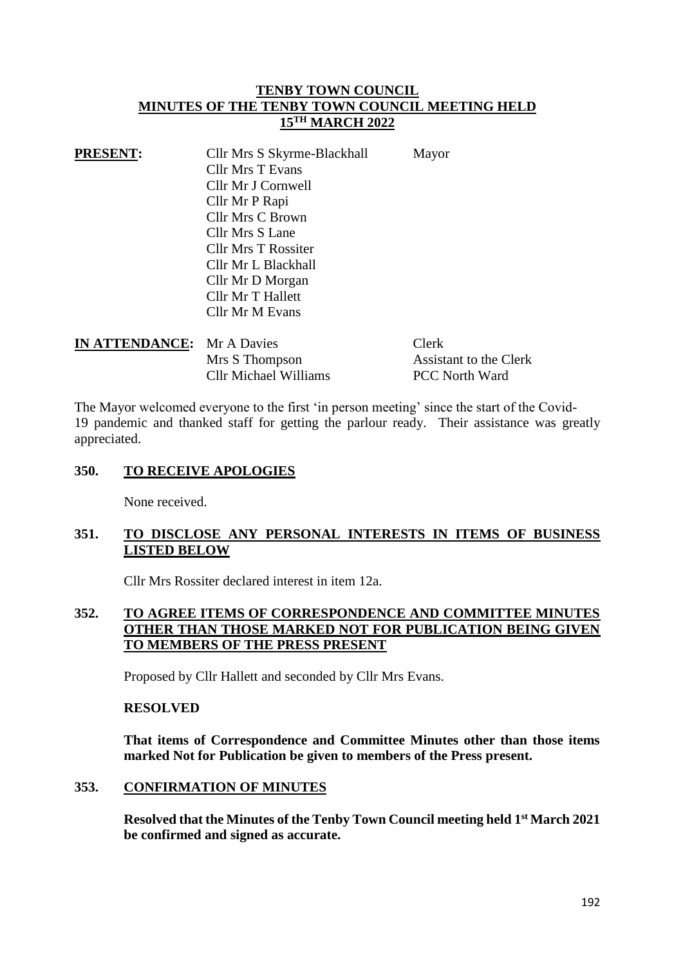# **TENBY TOWN COUNCIL MINUTES OF THE TENBY TOWN COUNCIL MEETING HELD 15TH MARCH 2022**

| <b>PRESENT:</b> | Cllr Mrs S Skyrme-Blackhall | Mayor |
|-----------------|-----------------------------|-------|
|                 | <b>Cllr Mrs T Evans</b>     |       |
|                 | Cllr Mr J Cornwell          |       |
|                 | Cllr Mr P Rapi              |       |
|                 | <b>Cllr Mrs C Brown</b>     |       |
|                 | Cllr Mrs S Lane             |       |
|                 | <b>Cllr Mrs T Rossiter</b>  |       |
|                 | Cllr Mr L Blackhall         |       |
|                 | Cllr Mr D Morgan            |       |
|                 | Cllr Mr T Hallett           |       |
|                 | Cllr Mr M Evans             |       |

| <b>IN ATTENDANCE:</b> Mr A Davies |                       | Clerk                  |
|-----------------------------------|-----------------------|------------------------|
|                                   | Mrs S Thompson        | Assistant to the Clerk |
|                                   | Cllr Michael Williams | <b>PCC</b> North Ward  |

The Mayor welcomed everyone to the first 'in person meeting' since the start of the Covid-19 pandemic and thanked staff for getting the parlour ready. Their assistance was greatly appreciated.

# **350. TO RECEIVE APOLOGIES**

None received.

# **351. TO DISCLOSE ANY PERSONAL INTERESTS IN ITEMS OF BUSINESS LISTED BELOW**

Cllr Mrs Rossiter declared interest in item 12a.

# **352. TO AGREE ITEMS OF CORRESPONDENCE AND COMMITTEE MINUTES OTHER THAN THOSE MARKED NOT FOR PUBLICATION BEING GIVEN TO MEMBERS OF THE PRESS PRESENT**

Proposed by Cllr Hallett and seconded by Cllr Mrs Evans.

### **RESOLVED**

**That items of Correspondence and Committee Minutes other than those items marked Not for Publication be given to members of the Press present.**

# **353. CONFIRMATION OF MINUTES**

**Resolved that the Minutes of the Tenby Town Council meeting held 1 st March 2021 be confirmed and signed as accurate.**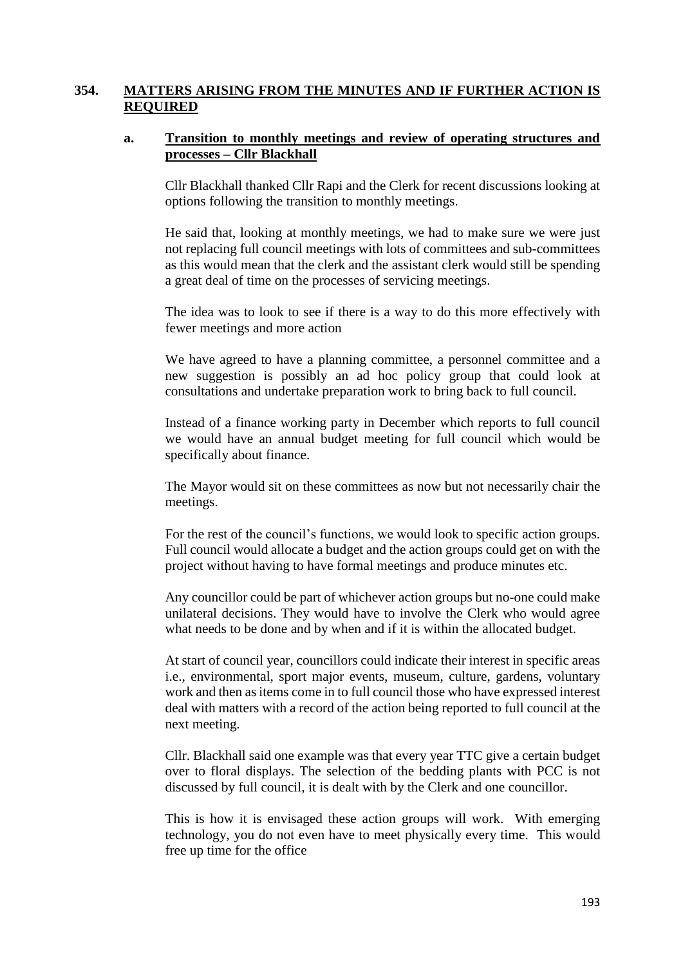# **354. MATTERS ARISING FROM THE MINUTES AND IF FURTHER ACTION IS REQUIRED**

### **a. Transition to monthly meetings and review of operating structures and processes – Cllr Blackhall**

Cllr Blackhall thanked Cllr Rapi and the Clerk for recent discussions looking at options following the transition to monthly meetings.

He said that, looking at monthly meetings, we had to make sure we were just not replacing full council meetings with lots of committees and sub-committees as this would mean that the clerk and the assistant clerk would still be spending a great deal of time on the processes of servicing meetings.

The idea was to look to see if there is a way to do this more effectively with fewer meetings and more action

We have agreed to have a planning committee, a personnel committee and a new suggestion is possibly an ad hoc policy group that could look at consultations and undertake preparation work to bring back to full council.

Instead of a finance working party in December which reports to full council we would have an annual budget meeting for full council which would be specifically about finance.

The Mayor would sit on these committees as now but not necessarily chair the meetings.

For the rest of the council's functions, we would look to specific action groups. Full council would allocate a budget and the action groups could get on with the project without having to have formal meetings and produce minutes etc.

Any councillor could be part of whichever action groups but no-one could make unilateral decisions. They would have to involve the Clerk who would agree what needs to be done and by when and if it is within the allocated budget.

At start of council year, councillors could indicate their interest in specific areas i.e., environmental, sport major events, museum, culture, gardens, voluntary work and then asitems come in to full council those who have expressed interest deal with matters with a record of the action being reported to full council at the next meeting.

Cllr. Blackhall said one example was that every year TTC give a certain budget over to floral displays. The selection of the bedding plants with PCC is not discussed by full council, it is dealt with by the Clerk and one councillor.

This is how it is envisaged these action groups will work. With emerging technology, you do not even have to meet physically every time. This would free up time for the office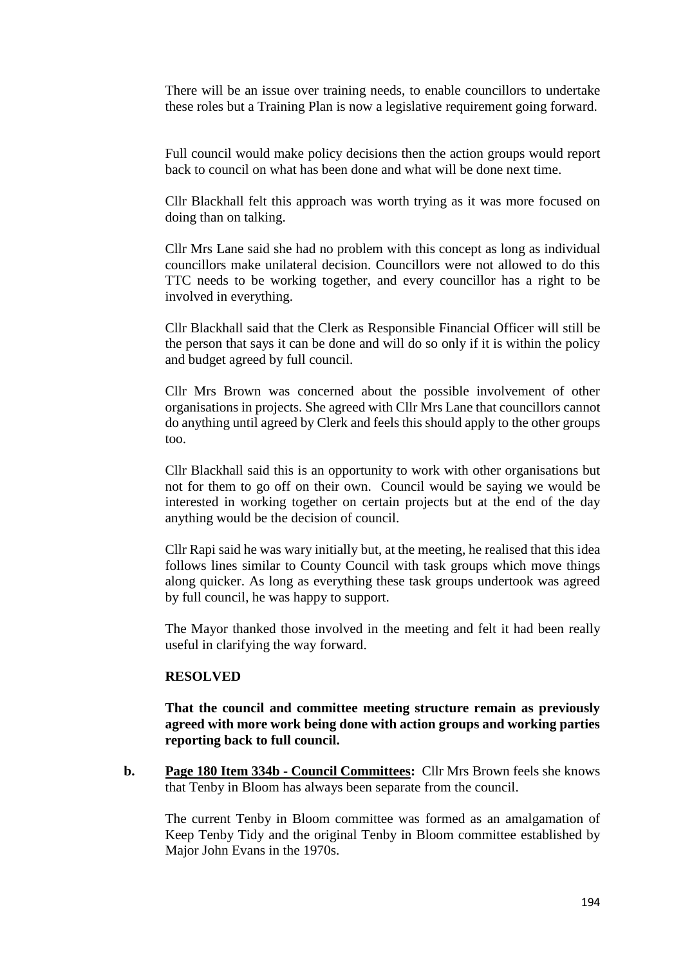There will be an issue over training needs, to enable councillors to undertake these roles but a Training Plan is now a legislative requirement going forward.

Full council would make policy decisions then the action groups would report back to council on what has been done and what will be done next time.

Cllr Blackhall felt this approach was worth trying as it was more focused on doing than on talking.

Cllr Mrs Lane said she had no problem with this concept as long as individual councillors make unilateral decision. Councillors were not allowed to do this TTC needs to be working together, and every councillor has a right to be involved in everything.

Cllr Blackhall said that the Clerk as Responsible Financial Officer will still be the person that says it can be done and will do so only if it is within the policy and budget agreed by full council.

Cllr Mrs Brown was concerned about the possible involvement of other organisations in projects. She agreed with Cllr Mrs Lane that councillors cannot do anything until agreed by Clerk and feels this should apply to the other groups too.

Cllr Blackhall said this is an opportunity to work with other organisations but not for them to go off on their own. Council would be saying we would be interested in working together on certain projects but at the end of the day anything would be the decision of council.

Cllr Rapi said he was wary initially but, at the meeting, he realised that this idea follows lines similar to County Council with task groups which move things along quicker. As long as everything these task groups undertook was agreed by full council, he was happy to support.

The Mayor thanked those involved in the meeting and felt it had been really useful in clarifying the way forward.

#### **RESOLVED**

**That the council and committee meeting structure remain as previously agreed with more work being done with action groups and working parties reporting back to full council.**

**b. Page 180 Item 334b - Council Committees:** Cllr Mrs Brown feels she knows that Tenby in Bloom has always been separate from the council.

The current Tenby in Bloom committee was formed as an amalgamation of Keep Tenby Tidy and the original Tenby in Bloom committee established by Major John Evans in the 1970s.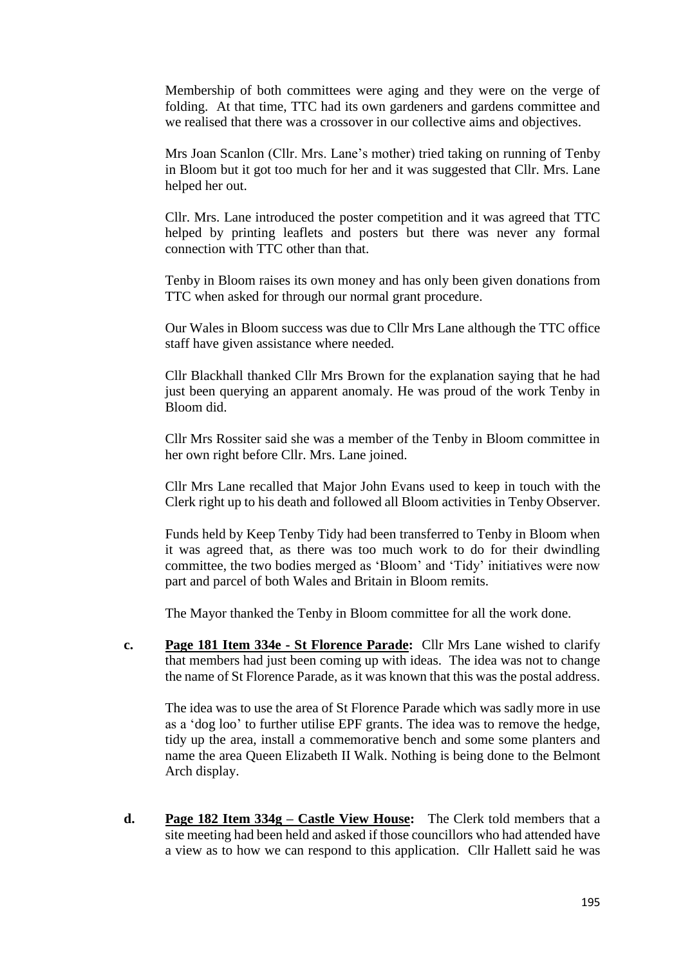Membership of both committees were aging and they were on the verge of folding. At that time, TTC had its own gardeners and gardens committee and we realised that there was a crossover in our collective aims and objectives.

Mrs Joan Scanlon (Cllr. Mrs. Lane's mother) tried taking on running of Tenby in Bloom but it got too much for her and it was suggested that Cllr. Mrs. Lane helped her out.

Cllr. Mrs. Lane introduced the poster competition and it was agreed that TTC helped by printing leaflets and posters but there was never any formal connection with TTC other than that.

Tenby in Bloom raises its own money and has only been given donations from TTC when asked for through our normal grant procedure.

Our Wales in Bloom success was due to Cllr Mrs Lane although the TTC office staff have given assistance where needed.

Cllr Blackhall thanked Cllr Mrs Brown for the explanation saying that he had just been querying an apparent anomaly. He was proud of the work Tenby in Bloom did.

Cllr Mrs Rossiter said she was a member of the Tenby in Bloom committee in her own right before Cllr. Mrs. Lane joined.

Cllr Mrs Lane recalled that Major John Evans used to keep in touch with the Clerk right up to his death and followed all Bloom activities in Tenby Observer.

Funds held by Keep Tenby Tidy had been transferred to Tenby in Bloom when it was agreed that, as there was too much work to do for their dwindling committee, the two bodies merged as 'Bloom' and 'Tidy' initiatives were now part and parcel of both Wales and Britain in Bloom remits.

The Mayor thanked the Tenby in Bloom committee for all the work done.

**c. Page 181 Item 334e - St Florence Parade:** Cllr Mrs Lane wished to clarify that members had just been coming up with ideas. The idea was not to change the name of St Florence Parade, as it was known that this was the postal address.

The idea was to use the area of St Florence Parade which was sadly more in use as a 'dog loo' to further utilise EPF grants. The idea was to remove the hedge, tidy up the area, install a commemorative bench and some some planters and name the area Queen Elizabeth II Walk. Nothing is being done to the Belmont Arch display.

**d. Page 182 Item 334g – Castle View House:** The Clerk told members that a site meeting had been held and asked if those councillors who had attended have a view as to how we can respond to this application. Cllr Hallett said he was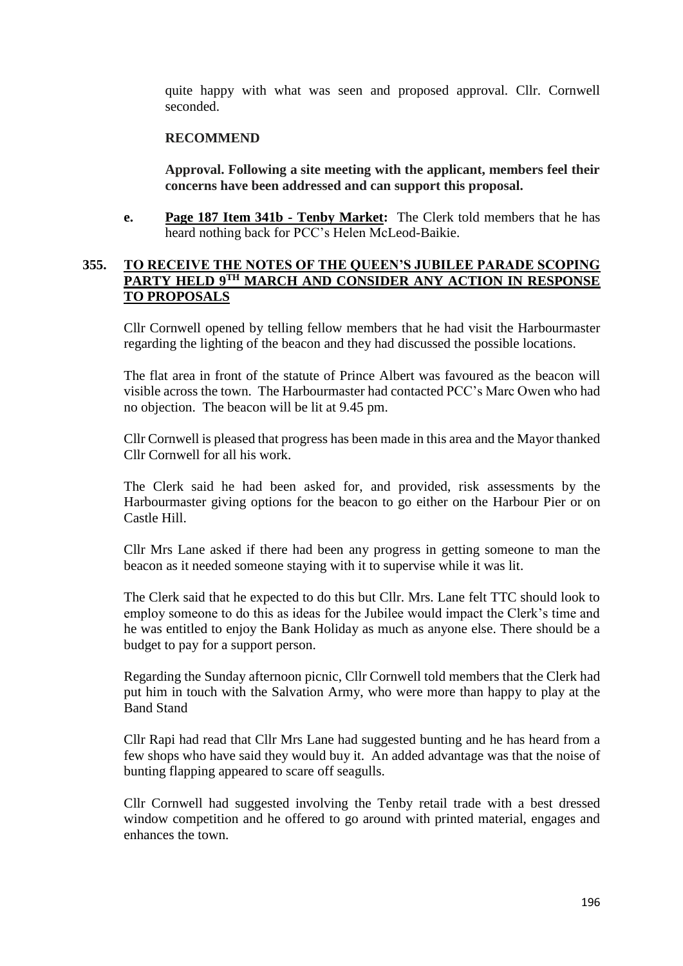quite happy with what was seen and proposed approval. Cllr. Cornwell seconded.

### **RECOMMEND**

**Approval. Following a site meeting with the applicant, members feel their concerns have been addressed and can support this proposal.**

**e. Page 187 Item 341b - Tenby Market:** The Clerk told members that he has heard nothing back for PCC's Helen McLeod-Baikie.

# **355. TO RECEIVE THE NOTES OF THE QUEEN'S JUBILEE PARADE SCOPING PARTY HELD 9TH MARCH AND CONSIDER ANY ACTION IN RESPONSE TO PROPOSALS**

Cllr Cornwell opened by telling fellow members that he had visit the Harbourmaster regarding the lighting of the beacon and they had discussed the possible locations.

The flat area in front of the statute of Prince Albert was favoured as the beacon will visible across the town. The Harbourmaster had contacted PCC's Marc Owen who had no objection. The beacon will be lit at 9.45 pm.

Cllr Cornwell is pleased that progress has been made in this area and the Mayor thanked Cllr Cornwell for all his work.

The Clerk said he had been asked for, and provided, risk assessments by the Harbourmaster giving options for the beacon to go either on the Harbour Pier or on Castle Hill.

Cllr Mrs Lane asked if there had been any progress in getting someone to man the beacon as it needed someone staying with it to supervise while it was lit.

The Clerk said that he expected to do this but Cllr. Mrs. Lane felt TTC should look to employ someone to do this as ideas for the Jubilee would impact the Clerk's time and he was entitled to enjoy the Bank Holiday as much as anyone else. There should be a budget to pay for a support person.

Regarding the Sunday afternoon picnic, Cllr Cornwell told members that the Clerk had put him in touch with the Salvation Army, who were more than happy to play at the Band Stand

Cllr Rapi had read that Cllr Mrs Lane had suggested bunting and he has heard from a few shops who have said they would buy it. An added advantage was that the noise of bunting flapping appeared to scare off seagulls.

Cllr Cornwell had suggested involving the Tenby retail trade with a best dressed window competition and he offered to go around with printed material, engages and enhances the town.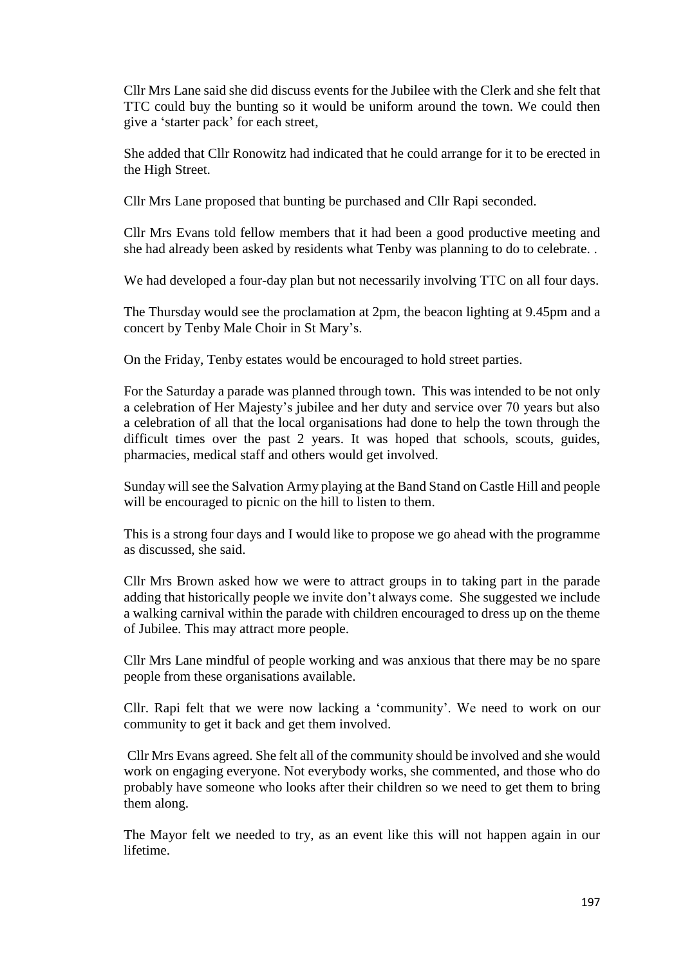Cllr Mrs Lane said she did discuss events for the Jubilee with the Clerk and she felt that TTC could buy the bunting so it would be uniform around the town. We could then give a 'starter pack' for each street,

She added that Cllr Ronowitz had indicated that he could arrange for it to be erected in the High Street.

Cllr Mrs Lane proposed that bunting be purchased and Cllr Rapi seconded.

Cllr Mrs Evans told fellow members that it had been a good productive meeting and she had already been asked by residents what Tenby was planning to do to celebrate. .

We had developed a four-day plan but not necessarily involving TTC on all four days.

The Thursday would see the proclamation at 2pm, the beacon lighting at 9.45pm and a concert by Tenby Male Choir in St Mary's.

On the Friday, Tenby estates would be encouraged to hold street parties.

For the Saturday a parade was planned through town. This was intended to be not only a celebration of Her Majesty's jubilee and her duty and service over 70 years but also a celebration of all that the local organisations had done to help the town through the difficult times over the past 2 years. It was hoped that schools, scouts, guides, pharmacies, medical staff and others would get involved.

Sunday will see the Salvation Army playing at the Band Stand on Castle Hill and people will be encouraged to picnic on the hill to listen to them.

This is a strong four days and I would like to propose we go ahead with the programme as discussed, she said.

Cllr Mrs Brown asked how we were to attract groups in to taking part in the parade adding that historically people we invite don't always come. She suggested we include a walking carnival within the parade with children encouraged to dress up on the theme of Jubilee. This may attract more people.

Cllr Mrs Lane mindful of people working and was anxious that there may be no spare people from these organisations available.

Cllr. Rapi felt that we were now lacking a 'community'. We need to work on our community to get it back and get them involved.

Cllr Mrs Evans agreed. She felt all of the community should be involved and she would work on engaging everyone. Not everybody works, she commented, and those who do probably have someone who looks after their children so we need to get them to bring them along.

The Mayor felt we needed to try, as an event like this will not happen again in our lifetime.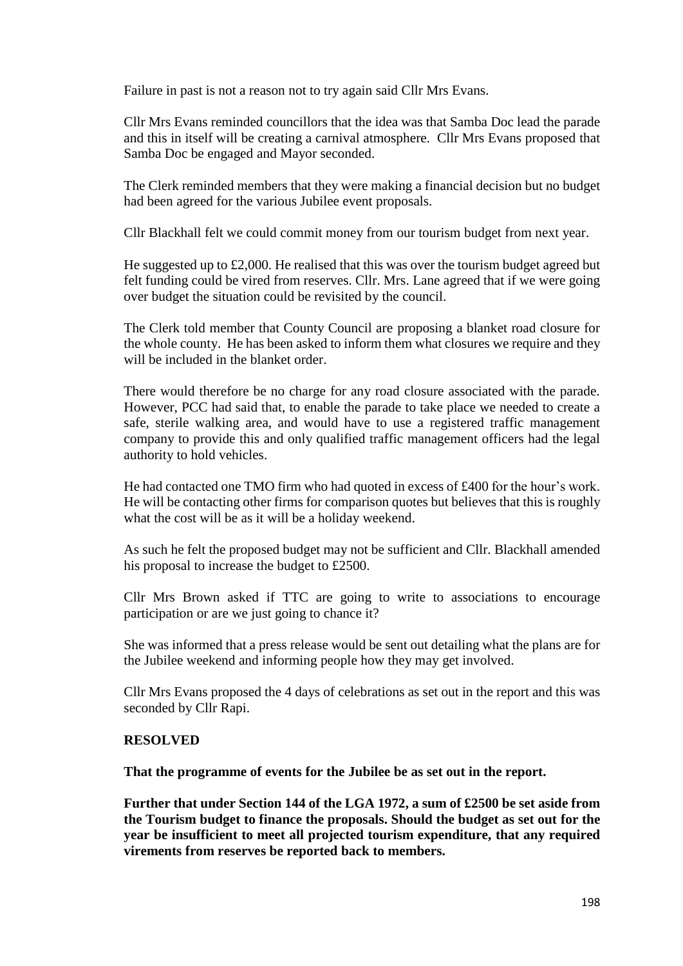Failure in past is not a reason not to try again said Cllr Mrs Evans.

Cllr Mrs Evans reminded councillors that the idea was that Samba Doc lead the parade and this in itself will be creating a carnival atmosphere. Cllr Mrs Evans proposed that Samba Doc be engaged and Mayor seconded.

The Clerk reminded members that they were making a financial decision but no budget had been agreed for the various Jubilee event proposals.

Cllr Blackhall felt we could commit money from our tourism budget from next year.

He suggested up to £2,000. He realised that this was over the tourism budget agreed but felt funding could be vired from reserves. Cllr. Mrs. Lane agreed that if we were going over budget the situation could be revisited by the council.

The Clerk told member that County Council are proposing a blanket road closure for the whole county. He has been asked to inform them what closures we require and they will be included in the blanket order.

There would therefore be no charge for any road closure associated with the parade. However, PCC had said that, to enable the parade to take place we needed to create a safe, sterile walking area, and would have to use a registered traffic management company to provide this and only qualified traffic management officers had the legal authority to hold vehicles.

He had contacted one TMO firm who had quoted in excess of £400 for the hour's work. He will be contacting other firms for comparison quotes but believes that this is roughly what the cost will be as it will be a holiday weekend.

As such he felt the proposed budget may not be sufficient and Cllr. Blackhall amended his proposal to increase the budget to £2500.

Cllr Mrs Brown asked if TTC are going to write to associations to encourage participation or are we just going to chance it?

She was informed that a press release would be sent out detailing what the plans are for the Jubilee weekend and informing people how they may get involved.

Cllr Mrs Evans proposed the 4 days of celebrations as set out in the report and this was seconded by Cllr Rapi.

#### **RESOLVED**

**That the programme of events for the Jubilee be as set out in the report.**

**Further that under Section 144 of the LGA 1972, a sum of £2500 be set aside from the Tourism budget to finance the proposals. Should the budget as set out for the year be insufficient to meet all projected tourism expenditure, that any required virements from reserves be reported back to members.**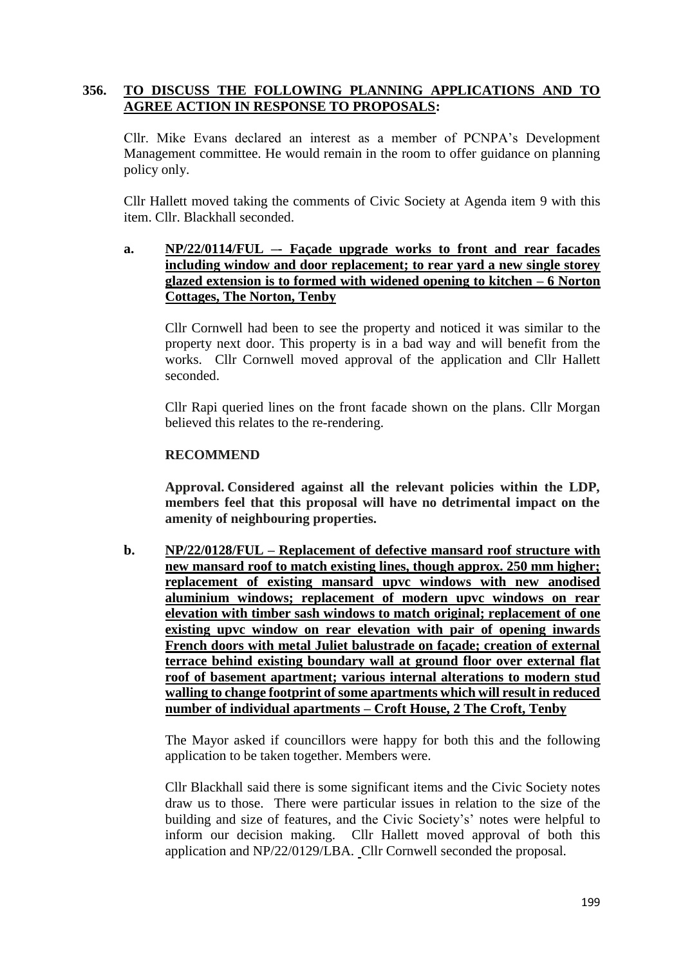# **356. TO DISCUSS THE FOLLOWING PLANNING APPLICATIONS AND TO AGREE ACTION IN RESPONSE TO PROPOSALS:**

Cllr. Mike Evans declared an interest as a member of PCNPA's Development Management committee. He would remain in the room to offer guidance on planning policy only.

Cllr Hallett moved taking the comments of Civic Society at Agenda item 9 with this item. Cllr. Blackhall seconded.

# **a. NP/22/0114/FUL –- Façade upgrade works to front and rear facades including window and door replacement; to rear yard a new single storey glazed extension is to formed with widened opening to kitchen – 6 Norton Cottages, The Norton, Tenby**

Cllr Cornwell had been to see the property and noticed it was similar to the property next door. This property is in a bad way and will benefit from the works. Cllr Cornwell moved approval of the application and Cllr Hallett seconded.

Cllr Rapi queried lines on the front facade shown on the plans. Cllr Morgan believed this relates to the re-rendering.

### **RECOMMEND**

**Approval. Considered against all the relevant policies within the LDP, members feel that this proposal will have no detrimental impact on the amenity of neighbouring properties.**

**b. NP/22/0128/FUL – Replacement of defective mansard roof structure with new mansard roof to match existing lines, though approx. 250 mm higher; replacement of existing mansard upvc windows with new anodised aluminium windows; replacement of modern upvc windows on rear elevation with timber sash windows to match original; replacement of one existing upvc window on rear elevation with pair of opening inwards French doors with metal Juliet balustrade on façade; creation of external terrace behind existing boundary wall at ground floor over external flat roof of basement apartment; various internal alterations to modern stud walling to change footprint of some apartments which will result in reduced number of individual apartments – Croft House, 2 The Croft, Tenby**

The Mayor asked if councillors were happy for both this and the following application to be taken together. Members were.

Cllr Blackhall said there is some significant items and the Civic Society notes draw us to those. There were particular issues in relation to the size of the building and size of features, and the Civic Society's' notes were helpful to inform our decision making. Cllr Hallett moved approval of both this application and NP/22/0129/LBA. Cllr Cornwell seconded the proposal.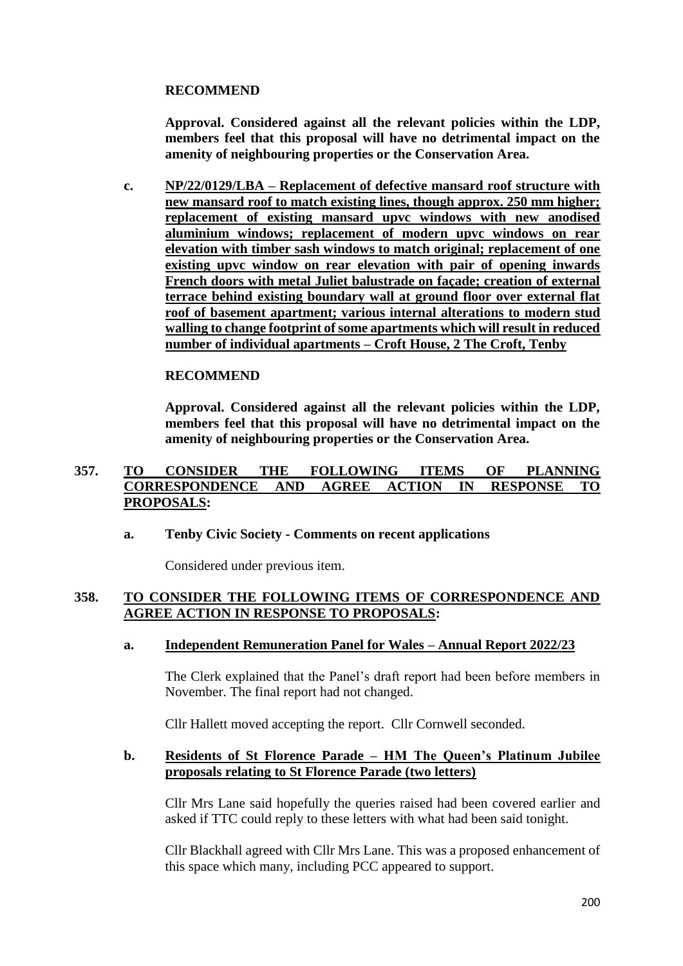# **RECOMMEND**

**Approval. Considered against all the relevant policies within the LDP, members feel that this proposal will have no detrimental impact on the amenity of neighbouring properties or the Conservation Area.**

**c. NP/22/0129/LBA – Replacement of defective mansard roof structure with new mansard roof to match existing lines, though approx. 250 mm higher; replacement of existing mansard upvc windows with new anodised aluminium windows; replacement of modern upvc windows on rear elevation with timber sash windows to match original; replacement of one existing upvc window on rear elevation with pair of opening inwards French doors with metal Juliet balustrade on façade; creation of external terrace behind existing boundary wall at ground floor over external flat roof of basement apartment; various internal alterations to modern stud walling to change footprint of some apartments which will result in reduced number of individual apartments – Croft House, 2 The Croft, Tenby**

### **RECOMMEND**

**Approval. Considered against all the relevant policies within the LDP, members feel that this proposal will have no detrimental impact on the amenity of neighbouring properties or the Conservation Area.**

## **357. TO CONSIDER THE FOLLOWING ITEMS OF PLANNING CORRESPONDENCE AND AGREE ACTION IN RESPONSE TO PROPOSALS:**

### **a. Tenby Civic Society - Comments on recent applications**

Considered under previous item.

### **358. TO CONSIDER THE FOLLOWING ITEMS OF CORRESPONDENCE AND AGREE ACTION IN RESPONSE TO PROPOSALS:**

#### **a. Independent Remuneration Panel for Wales – Annual Report 2022/23**

The Clerk explained that the Panel's draft report had been before members in November. The final report had not changed.

Cllr Hallett moved accepting the report. Cllr Cornwell seconded.

#### **b. Residents of St Florence Parade – HM The Queen's Platinum Jubilee proposals relating to St Florence Parade (two letters)**

Cllr Mrs Lane said hopefully the queries raised had been covered earlier and asked if TTC could reply to these letters with what had been said tonight.

Cllr Blackhall agreed with Cllr Mrs Lane. This was a proposed enhancement of this space which many, including PCC appeared to support.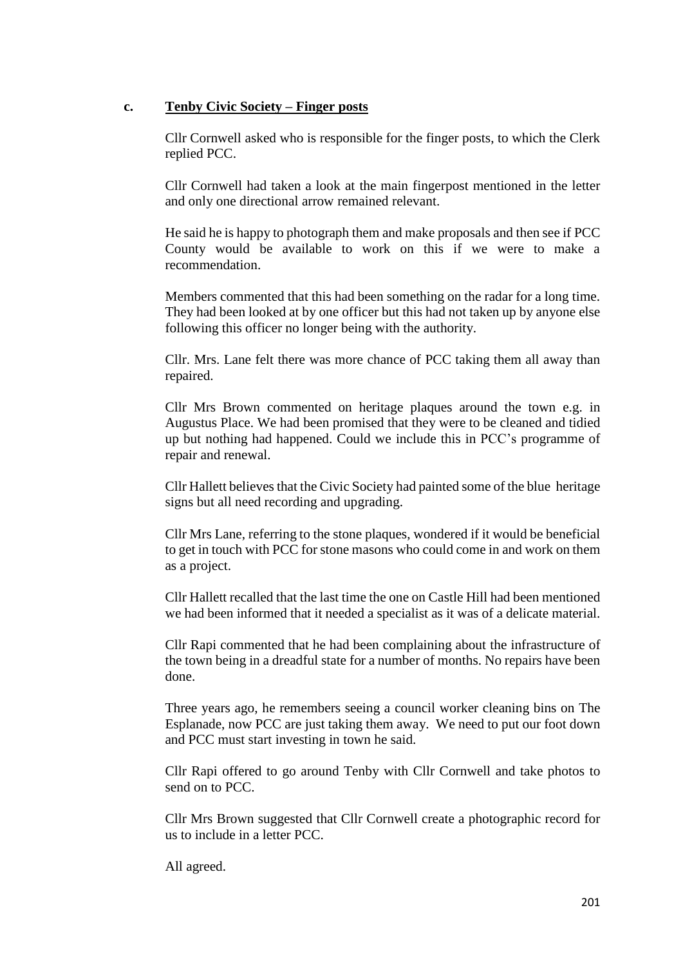### **c. Tenby Civic Society – Finger posts**

Cllr Cornwell asked who is responsible for the finger posts, to which the Clerk replied PCC.

Cllr Cornwell had taken a look at the main fingerpost mentioned in the letter and only one directional arrow remained relevant.

He said he is happy to photograph them and make proposals and then see if PCC County would be available to work on this if we were to make a recommendation.

Members commented that this had been something on the radar for a long time. They had been looked at by one officer but this had not taken up by anyone else following this officer no longer being with the authority.

Cllr. Mrs. Lane felt there was more chance of PCC taking them all away than repaired.

Cllr Mrs Brown commented on heritage plaques around the town e.g. in Augustus Place. We had been promised that they were to be cleaned and tidied up but nothing had happened. Could we include this in PCC's programme of repair and renewal.

Cllr Hallett believes that the Civic Society had painted some of the blue heritage signs but all need recording and upgrading.

Cllr Mrs Lane, referring to the stone plaques, wondered if it would be beneficial to get in touch with PCC for stone masons who could come in and work on them as a project.

Cllr Hallett recalled that the last time the one on Castle Hill had been mentioned we had been informed that it needed a specialist as it was of a delicate material.

Cllr Rapi commented that he had been complaining about the infrastructure of the town being in a dreadful state for a number of months. No repairs have been done.

Three years ago, he remembers seeing a council worker cleaning bins on The Esplanade, now PCC are just taking them away. We need to put our foot down and PCC must start investing in town he said.

Cllr Rapi offered to go around Tenby with Cllr Cornwell and take photos to send on to PCC.

Cllr Mrs Brown suggested that Cllr Cornwell create a photographic record for us to include in a letter PCC.

All agreed.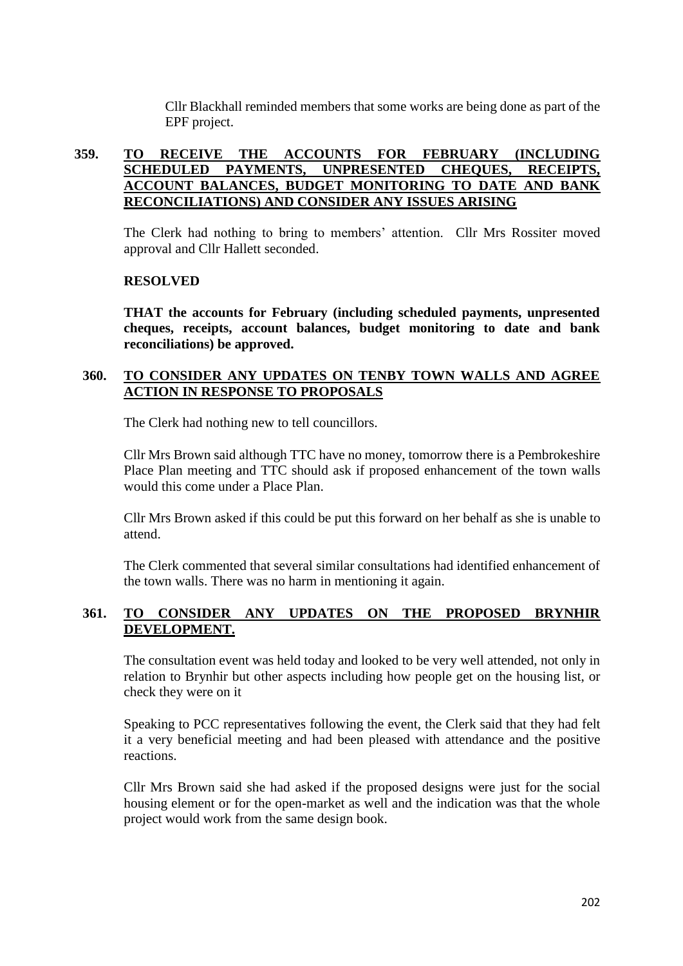Cllr Blackhall reminded members that some works are being done as part of the EPF project.

# **359. TO RECEIVE THE ACCOUNTS FOR FEBRUARY (INCLUDING SCHEDULED PAYMENTS, UNPRESENTED CHEQUES, RECEIPTS, ACCOUNT BALANCES, BUDGET MONITORING TO DATE AND BANK RECONCILIATIONS) AND CONSIDER ANY ISSUES ARISING**

The Clerk had nothing to bring to members' attention. Cllr Mrs Rossiter moved approval and Cllr Hallett seconded.

### **RESOLVED**

**THAT the accounts for February (including scheduled payments, unpresented cheques, receipts, account balances, budget monitoring to date and bank reconciliations) be approved.**

# **360. TO CONSIDER ANY UPDATES ON TENBY TOWN WALLS AND AGREE ACTION IN RESPONSE TO PROPOSALS**

The Clerk had nothing new to tell councillors.

Cllr Mrs Brown said although TTC have no money, tomorrow there is a Pembrokeshire Place Plan meeting and TTC should ask if proposed enhancement of the town walls would this come under a Place Plan.

Cllr Mrs Brown asked if this could be put this forward on her behalf as she is unable to attend.

The Clerk commented that several similar consultations had identified enhancement of the town walls. There was no harm in mentioning it again.

# **361. TO CONSIDER ANY UPDATES ON THE PROPOSED BRYNHIR DEVELOPMENT.**

The consultation event was held today and looked to be very well attended, not only in relation to Brynhir but other aspects including how people get on the housing list, or check they were on it

Speaking to PCC representatives following the event, the Clerk said that they had felt it a very beneficial meeting and had been pleased with attendance and the positive reactions.

Cllr Mrs Brown said she had asked if the proposed designs were just for the social housing element or for the open-market as well and the indication was that the whole project would work from the same design book.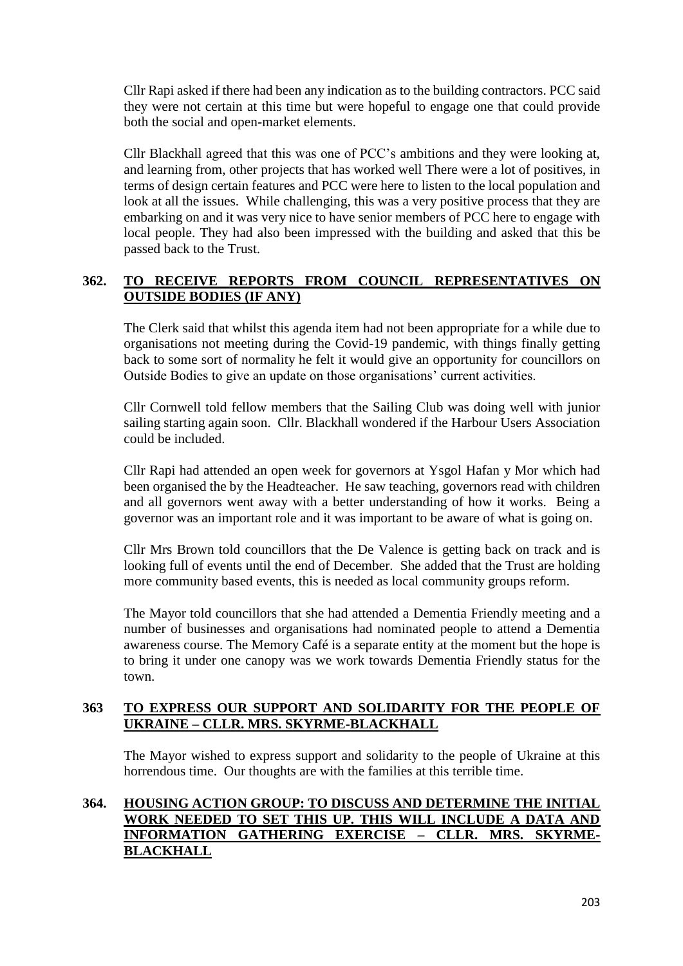Cllr Rapi asked if there had been any indication as to the building contractors. PCC said they were not certain at this time but were hopeful to engage one that could provide both the social and open-market elements.

Cllr Blackhall agreed that this was one of PCC's ambitions and they were looking at, and learning from, other projects that has worked well There were a lot of positives, in terms of design certain features and PCC were here to listen to the local population and look at all the issues. While challenging, this was a very positive process that they are embarking on and it was very nice to have senior members of PCC here to engage with local people. They had also been impressed with the building and asked that this be passed back to the Trust.

# **362. TO RECEIVE REPORTS FROM COUNCIL REPRESENTATIVES ON OUTSIDE BODIES (IF ANY)**

The Clerk said that whilst this agenda item had not been appropriate for a while due to organisations not meeting during the Covid-19 pandemic, with things finally getting back to some sort of normality he felt it would give an opportunity for councillors on Outside Bodies to give an update on those organisations' current activities.

Cllr Cornwell told fellow members that the Sailing Club was doing well with junior sailing starting again soon. Cllr. Blackhall wondered if the Harbour Users Association could be included.

Cllr Rapi had attended an open week for governors at Ysgol Hafan y Mor which had been organised the by the Headteacher. He saw teaching, governors read with children and all governors went away with a better understanding of how it works. Being a governor was an important role and it was important to be aware of what is going on.

Cllr Mrs Brown told councillors that the De Valence is getting back on track and is looking full of events until the end of December. She added that the Trust are holding more community based events, this is needed as local community groups reform.

The Mayor told councillors that she had attended a Dementia Friendly meeting and a number of businesses and organisations had nominated people to attend a Dementia awareness course. The Memory Café is a separate entity at the moment but the hope is to bring it under one canopy was we work towards Dementia Friendly status for the town.

# **363 TO EXPRESS OUR SUPPORT AND SOLIDARITY FOR THE PEOPLE OF UKRAINE – CLLR. MRS. SKYRME-BLACKHALL**

The Mayor wished to express support and solidarity to the people of Ukraine at this horrendous time. Our thoughts are with the families at this terrible time.

# **364. HOUSING ACTION GROUP: TO DISCUSS AND DETERMINE THE INITIAL WORK NEEDED TO SET THIS UP. THIS WILL INCLUDE A DATA AND INFORMATION GATHERING EXERCISE – CLLR. MRS. SKYRME-BLACKHALL**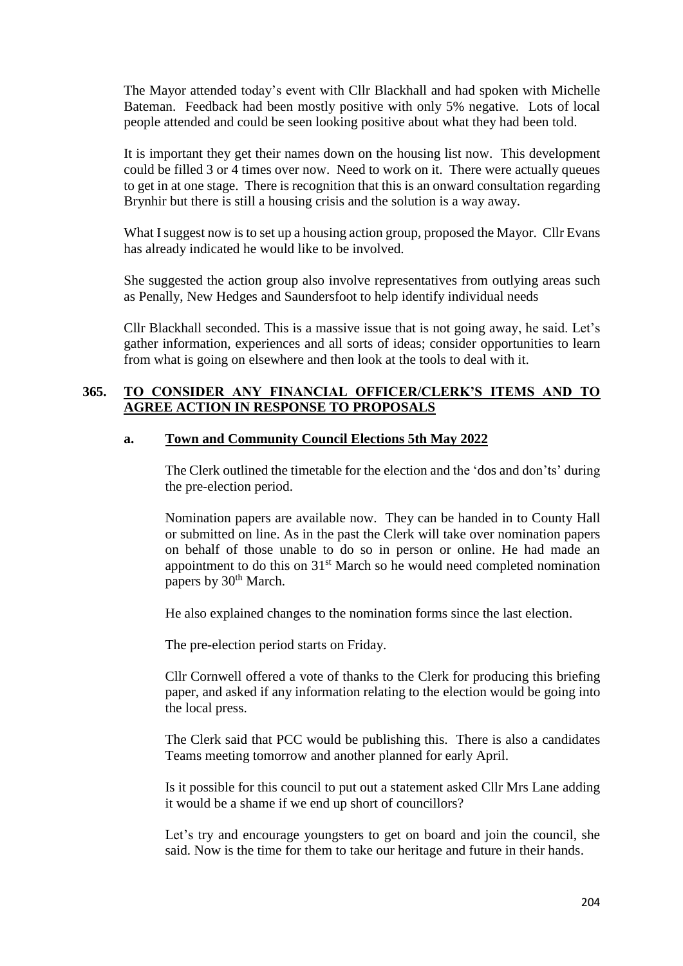The Mayor attended today's event with Cllr Blackhall and had spoken with Michelle Bateman. Feedback had been mostly positive with only 5% negative. Lots of local people attended and could be seen looking positive about what they had been told.

It is important they get their names down on the housing list now. This development could be filled 3 or 4 times over now. Need to work on it. There were actually queues to get in at one stage. There is recognition that this is an onward consultation regarding Brynhir but there is still a housing crisis and the solution is a way away.

What I suggest now is to set up a housing action group, proposed the Mayor. Cllr Evans has already indicated he would like to be involved.

She suggested the action group also involve representatives from outlying areas such as Penally, New Hedges and Saundersfoot to help identify individual needs

Cllr Blackhall seconded. This is a massive issue that is not going away, he said. Let's gather information, experiences and all sorts of ideas; consider opportunities to learn from what is going on elsewhere and then look at the tools to deal with it.

### **365. TO CONSIDER ANY FINANCIAL OFFICER/CLERK'S ITEMS AND TO AGREE ACTION IN RESPONSE TO PROPOSALS**

### **a. Town and Community Council Elections 5th May 2022**

The Clerk outlined the timetable for the election and the 'dos and don'ts' during the pre-election period.

Nomination papers are available now. They can be handed in to County Hall or submitted on line. As in the past the Clerk will take over nomination papers on behalf of those unable to do so in person or online. He had made an appointment to do this on  $31<sup>st</sup>$  March so he would need completed nomination papers by 30<sup>th</sup> March.

He also explained changes to the nomination forms since the last election.

The pre-election period starts on Friday.

Cllr Cornwell offered a vote of thanks to the Clerk for producing this briefing paper, and asked if any information relating to the election would be going into the local press.

The Clerk said that PCC would be publishing this. There is also a candidates Teams meeting tomorrow and another planned for early April.

Is it possible for this council to put out a statement asked Cllr Mrs Lane adding it would be a shame if we end up short of councillors?

Let's try and encourage youngsters to get on board and join the council, she said. Now is the time for them to take our heritage and future in their hands.